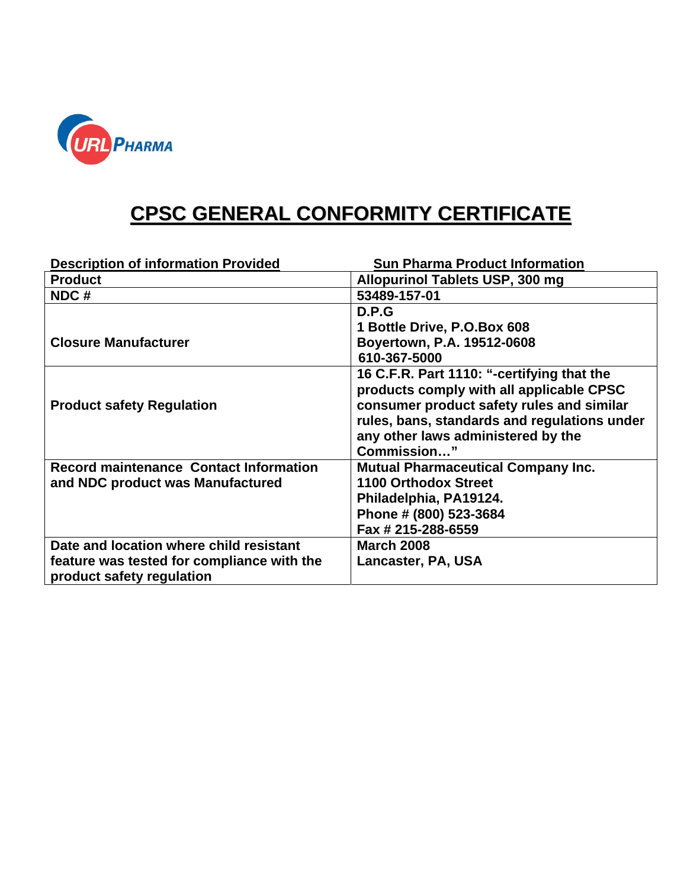

## **CPSC GENERAL CONFORMITY CERTIFICATE**

| <b>Description of information Provided</b>    | <b>Sun Pharma Product Information</b>        |
|-----------------------------------------------|----------------------------------------------|
| <b>Product</b>                                | Allopurinol Tablets USP, 300 mg              |
| NDC#                                          | 53489-157-01                                 |
|                                               | D.P.G                                        |
|                                               | 1 Bottle Drive, P.O.Box 608                  |
| <b>Closure Manufacturer</b>                   | Boyertown, P.A. 19512-0608                   |
|                                               | 610-367-5000                                 |
|                                               | 16 C.F.R. Part 1110: "-certifying that the   |
|                                               | products comply with all applicable CPSC     |
| <b>Product safety Regulation</b>              | consumer product safety rules and similar    |
|                                               | rules, bans, standards and regulations under |
|                                               | any other laws administered by the           |
|                                               | Commission"                                  |
| <b>Record maintenance Contact Information</b> | <b>Mutual Pharmaceutical Company Inc.</b>    |
| and NDC product was Manufactured              | 1100 Orthodox Street                         |
|                                               | Philadelphia, PA19124.                       |
|                                               | Phone # (800) 523-3684                       |
|                                               | Fax # 215-288-6559                           |
| Date and location where child resistant       | <b>March 2008</b>                            |
| feature was tested for compliance with the    | Lancaster, PA, USA                           |
| product safety regulation                     |                                              |